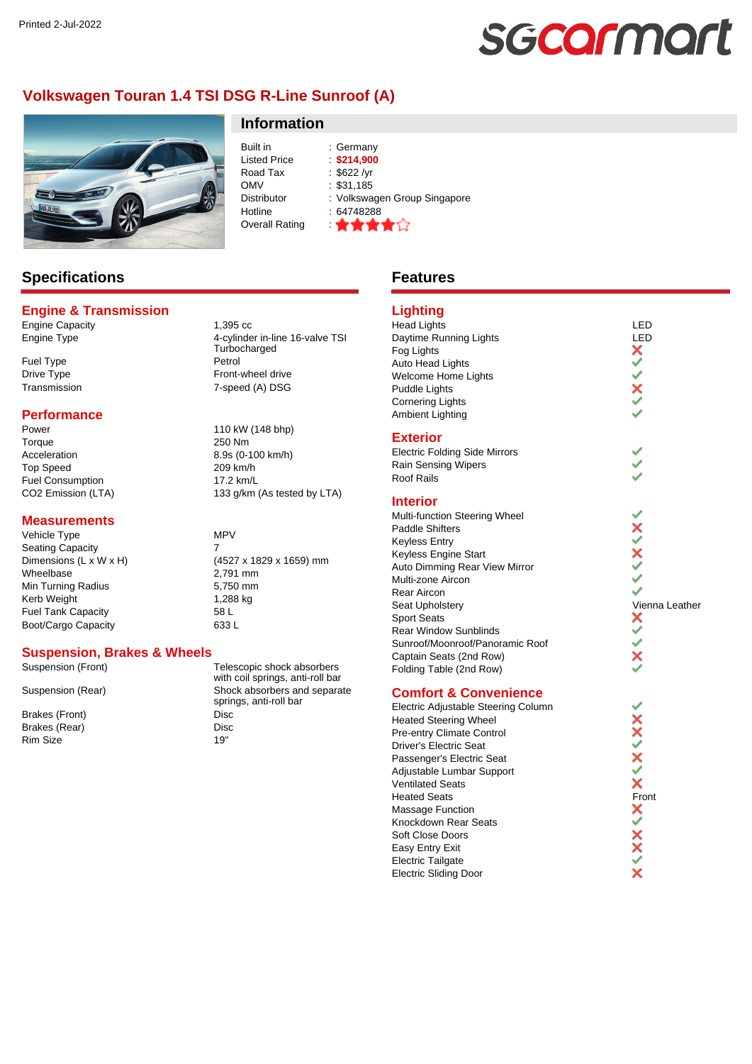# sgcarmart

# **Volkswagen Touran 1.4 TSI DSG R-Line Sunroof (A)**



# Built in : Germany<br>
Listed Price : \$214,900 Listed Price Road Tax : \$622 /yr<br>OMV : \$31.185

Hotline : 64748288 Overall Rating \

**Information**

 $\frac{1}{3}$ \$31,185 Distributor : Volkswagen Group Singapore

# **Specifications**

## **Engine & Transmission**

Engine Capacity<br>
Engine Type<br>
4-cylinde

Fuel Type Petrol

#### **Performance**

Power 110 kW (148 bhp) Torque 250 Nm Acceleration 8.9s (0-100 km/h) Top Speed 209 km/h Fuel Consumption 17.2 km/L<br>CO2 Emission (LTA) 133 a/km

#### **Measurements**

Vehicle Type MPV Seating Capacity 7 Wheelbase 2,791 mm<br>
Min Turning Radius 2008 2,750 mm Min Turning Radius Kerb Weight 1,288 kg Fuel Tank Capacity 58 L Boot/Cargo Capacity 633 L

4-cylinder in-line 16-valve TSI Turbocharged Drive Type **Front-wheel drive** Transmission 7-speed (A) DSG

133 g/km (As tested by LTA)

Dimensions (L x W x H) (4527 x 1829 x 1659) mm

#### **Suspension, Brakes & Wheels**

Brakes (Front) Disc Brakes (Rear) Disc Rim Size 19"

Suspension (Front) Telescopic shock absorbers with coil springs, anti-roll bar Suspension (Rear) Shock absorbers and separate springs, anti-roll bar

# **Features**

# **Lighting**

#### Head Lights LED<br>Daytime Running Lights Lexuber 2011 Daytime Running Lights<br>
Fog Lights<br>
Auto Head Lights<br> **X** Fog Lights Auto Head Lights Welcome Home Lights Puddle Lights Cornering Lights Ambient Lighting

#### **Exterior**

Electric Folding Side Mirrors Rain Sensing Wipers Roof Rails

#### **Interior**

Multi-function Steering Wheel Paddle Shifters Keyless Entry Keyless Engine Start Auto Dimming Rear View Mirror Multi-zone Aircon Rear Aircon Seat Upholstery Vienna Leather<br>
Sport Seats<br>
Rear Window Sunblinds<br>
Notation Sunblinds<br>
Notation Sunblinds<br>
Notation Sunblinds<br>
Notation Sunblinds<br>
Notation Sunblinds<br>
Notation Sunblinds<br>
Notation Sunblinds<br>
Notation Sunbl Sport Seats Rear Window Sunblinds Sunroof/Moonroof/Panoramic Roof Captain Seats (2nd Row) Folding Table (2nd Row)

#### **Comfort & Convenience**

Electric Adjustable Steering Column Heated Steering Wheel Pre-entry Climate Control Driver's Electric Seat Passenger's Electric Seat Adjustable Lumbar Support Ventilated Seats Electric Adjustable Steering Column<br>
Heated Steering Wheel<br>
Pre-entry Climate Control<br>
Driver's Electric Seat<br>
Passenger's Electric Seat<br>
Adjustable Lumbar Support<br>
Ventilated Seats<br>
Heated Seats<br>
Heated Seats<br>
Soft Close Massage Function Knockdown Rear Seats Soft Close Doors Easy Entry Exit Electric Tailgate Electric Sliding Door

ž  $\dot{\varepsilon}$ **KAXXXX** ٧  $\checkmark$ Š